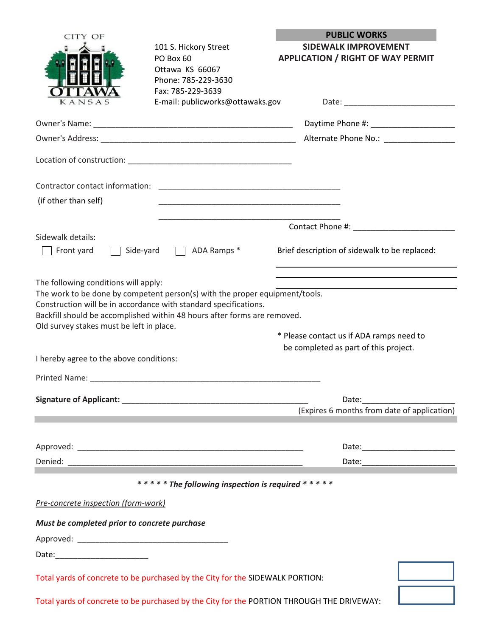| CITY OF<br>KANSAS                                                                                                                                                                               | 101 S. Hickory Street<br>PO Box 60<br>Ottawa KS 66067<br>Phone: 785-229-3630<br>Fax: 785-229-3639<br>E-mail: publicworks@ottawaks.gov                   | <b>PUBLIC WORKS</b><br><b>SIDEWALK IMPROVEMENT</b><br><b>APPLICATION / RIGHT OF WAY PERMIT</b><br>Daytime Phone #: _____________________<br>Alternate Phone No.: ________________ |
|-------------------------------------------------------------------------------------------------------------------------------------------------------------------------------------------------|---------------------------------------------------------------------------------------------------------------------------------------------------------|-----------------------------------------------------------------------------------------------------------------------------------------------------------------------------------|
| (if other than self)                                                                                                                                                                            |                                                                                                                                                         |                                                                                                                                                                                   |
| Sidewalk details:<br>Front yard                                                                                                                                                                 | Side-yard   ADA Ramps *                                                                                                                                 | Brief description of sidewalk to be replaced:                                                                                                                                     |
| The following conditions will apply:<br>Construction will be in accordance with standard specifications.<br>Old survey stakes must be left in place.<br>I hereby agree to the above conditions: | The work to be done by competent person(s) with the proper equipment/tools.<br>Backfill should be accomplished within 48 hours after forms are removed. | * Please contact us if ADA ramps need to<br>be completed as part of this project.                                                                                                 |
|                                                                                                                                                                                                 | Signature of Applicant: Signature of Applicant:                                                                                                         | Date: 2008<br>(Expires 6 months from date of application)                                                                                                                         |
|                                                                                                                                                                                                 | ***** The following inspection is required *****                                                                                                        |                                                                                                                                                                                   |
| Pre-concrete inspection (form-work)                                                                                                                                                             |                                                                                                                                                         |                                                                                                                                                                                   |
| Must be completed prior to concrete purchase                                                                                                                                                    |                                                                                                                                                         |                                                                                                                                                                                   |
|                                                                                                                                                                                                 |                                                                                                                                                         |                                                                                                                                                                                   |
|                                                                                                                                                                                                 | Total yards of concrete to be purchased by the City for the SIDEWALK PORTION:                                                                           |                                                                                                                                                                                   |
|                                                                                                                                                                                                 | Total yards of concrete to be purchased by the City for the PORTION THROUGH THE DRIVEWAY:                                                               |                                                                                                                                                                                   |